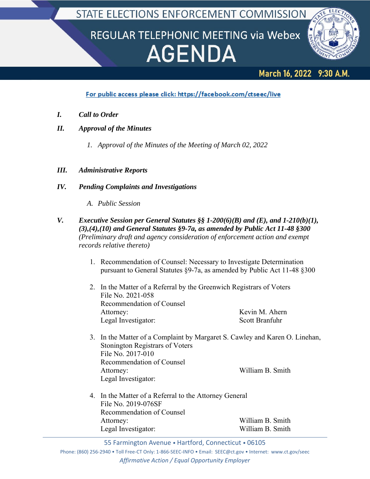STATE ELECTIONS ENFORCEMENT COMMISSION

## REGULAR TELEPHONIC MEETING via Webex **AGENDA**



## March 16, 2022 9:30 A.M.

For public access please click: https://facebook.com/ctseec/live

- *I. Call to Order*
- *II. Approval of the Minutes*
	- *1. Approval of the Minutes of the Meeting of March 02, 2022*

## *III. Administrative Reports*

- *IV. Pending Complaints and Investigations*
	- *A. Public Session*
- *V. Executive Session per General Statutes §§ 1-200(6)(B) and (E), and 1-210(b)(1), (3),(4),(10) and General Statutes §9-7a, as amended by Public Act 11-48 §300 (Preliminary draft and agency consideration of enforcement action and exempt records relative thereto)*
	- 1. Recommendation of Counsel: Necessary to Investigate Determination pursuant to General Statutes §9-7a, as amended by Public Act 11-48 §300
	- 2. In the Matter of a Referral by the Greenwich Registrars of Voters File No. 2021-058 Recommendation of Counsel Attorney: Kevin M. Ahern Legal Investigator: Scott Branfuhr
	- 3. In the Matter of a Complaint by Margaret S. Cawley and Karen O. Linehan, Stonington Registrars of Voters File No. 2017-010 Recommendation of Counsel Attorney: William B. Smith Legal Investigator:
	- 4. In the Matter of a Referral to the Attorney General File No. 2019-076SF Recommendation of Counsel Attorney: William B. Smith Legal Investigator: William B. Smith

55 Farmington Avenue • Hartford, Connecticut • 06105

Phone: (860) 256‐2940 • Toll Free‐CT Only: 1‐866‐SEEC‐INFO • Email: SEEC@ct.gov • Internet: www.ct.gov/seec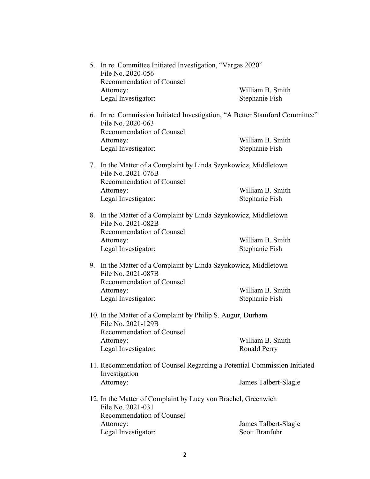|  | 5. In re. Committee Initiated Investigation, "Vargas 2020"<br>File No. 2020-056                  |                       |
|--|--------------------------------------------------------------------------------------------------|-----------------------|
|  | Recommendation of Counsel                                                                        |                       |
|  | Attorney:                                                                                        | William B. Smith      |
|  | Legal Investigator:                                                                              | Stephanie Fish        |
|  | 6. In re. Commission Initiated Investigation, "A Better Stamford Committee"<br>File No. 2020-063 |                       |
|  | Recommendation of Counsel                                                                        |                       |
|  | Attorney:                                                                                        | William B. Smith      |
|  | Legal Investigator:                                                                              | Stephanie Fish        |
|  | 7. In the Matter of a Complaint by Linda Szynkowicz, Middletown<br>File No. 2021-076B            |                       |
|  | Recommendation of Counsel                                                                        |                       |
|  | Attorney:                                                                                        | William B. Smith      |
|  | Legal Investigator:                                                                              | Stephanie Fish        |
|  | 8. In the Matter of a Complaint by Linda Szynkowicz, Middletown<br>File No. 2021-082B            |                       |
|  | Recommendation of Counsel                                                                        |                       |
|  | Attorney:                                                                                        | William B. Smith      |
|  | Legal Investigator:                                                                              | Stephanie Fish        |
|  | 9. In the Matter of a Complaint by Linda Szynkowicz, Middletown<br>File No. 2021-087B            |                       |
|  | Recommendation of Counsel                                                                        |                       |
|  | Attorney:                                                                                        | William B. Smith      |
|  | Legal Investigator:                                                                              | Stephanie Fish        |
|  | 10. In the Matter of a Complaint by Philip S. Augur, Durham<br>File No. 2021-129B                |                       |
|  | Recommendation of Counsel                                                                        |                       |
|  | Attorney:                                                                                        | William B. Smith      |
|  | Legal Investigator:                                                                              | <b>Ronald Perry</b>   |
|  | 11. Recommendation of Counsel Regarding a Potential Commission Initiated<br>Investigation        |                       |
|  | Attorney:                                                                                        | James Talbert-Slagle  |
|  | 12. In the Matter of Complaint by Lucy von Brachel, Greenwich<br>File No. 2021-031               |                       |
|  | Recommendation of Counsel                                                                        |                       |
|  | Attorney:                                                                                        | James Talbert-Slagle  |
|  | Legal Investigator:                                                                              | <b>Scott Branfuhr</b> |